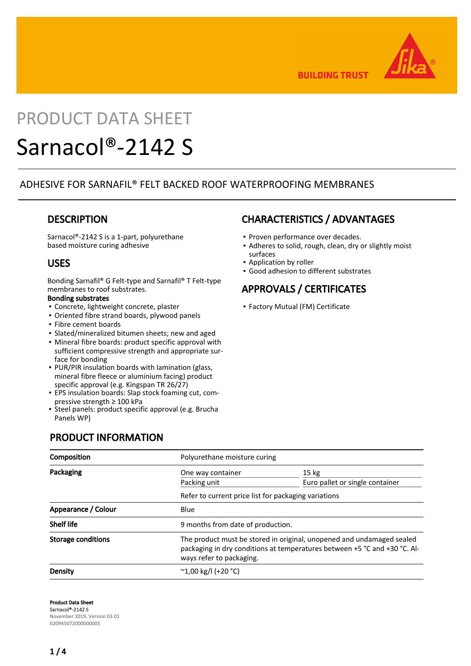

**BUILDING TRUST** 

# PRODUCT DATA SHEET

# Sarnacol®-2142 S

## ADHESIVE FOR SARNAFIL® FELT BACKED ROOF WATERPROOFING MEMBRANES

## **DESCRIPTION**

Sarnacol®-2142 S is a 1-part, polyurethane based moisture curing adhesive

## USES

Bonding Sarnafil® G Felt-type and Sarnafil® T Felt-type membranes to roof substrates.

#### Bonding substrates

- Concrete, lightweight concrete, plaster
- Oriented fibre strand boards, plywood panels
- Fibre cement boards
- Slated/mineralized bitumen sheets; new and aged
- Mineral fibre boards: product specific approval with sufficient compressive strength and appropriate surface for bonding
- PUR/PIR insulation boards with lamination (glass, mineral fibre fleece or aluminium facing) product specific approval (e.g. Kingspan TR 26/27)
- EPS insulation boards: Slap stock foaming cut, com-▪ pressive strength ≥ 100 kPa
- Steel panels: product specific approval (e.g. Brucha Panels WP)

PRODUCT INFORMATION

# CHARACTERISTICS / ADVANTAGES

- **Proven performance over decades.**
- Adheres to solid, rough, clean, dry or slightly moist surfaces
- **Application by roller**
- Good adhesion to different substrates

# APPROVALS / CERTIFICATES

▪ Factory Mutual (FM) Certificate

| Composition               |                                                                                                                                                                                | Polyurethane moisture curing                        |  |  |
|---------------------------|--------------------------------------------------------------------------------------------------------------------------------------------------------------------------------|-----------------------------------------------------|--|--|
| Packaging                 | One way container<br>Packing unit                                                                                                                                              | 15 <sub>kg</sub><br>Euro pallet or single container |  |  |
|                           | Refer to current price list for packaging variations                                                                                                                           |                                                     |  |  |
| Appearance / Colour       | <b>Blue</b>                                                                                                                                                                    |                                                     |  |  |
| <b>Shelf life</b>         | 9 months from date of production.                                                                                                                                              |                                                     |  |  |
| <b>Storage conditions</b> | The product must be stored in original, unopened and undamaged sealed<br>packaging in dry conditions at temperatures between +5 °C and +30 °C. Al-<br>ways refer to packaging. |                                                     |  |  |
| Density                   | $^{\circ}$ 1,00 kg/l (+20 $^{\circ}$ C)                                                                                                                                        |                                                     |  |  |

Product Data Sheet Sarnacol®-2142 S November 2019, Version 03.01 020945072000000005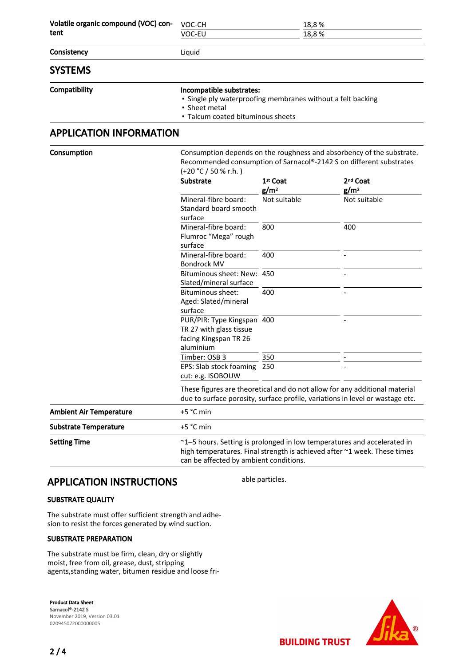| Volatile organic compound (VOC) con- | VOC-CH                                                                                                                                                                 | 18,8%                                    |                                  |  |
|--------------------------------------|------------------------------------------------------------------------------------------------------------------------------------------------------------------------|------------------------------------------|----------------------------------|--|
| tent                                 | VOC-EU                                                                                                                                                                 | 18,8%                                    |                                  |  |
| Consistency                          | Liquid                                                                                                                                                                 |                                          |                                  |  |
| <b>SYSTEMS</b>                       |                                                                                                                                                                        |                                          |                                  |  |
| Compatibility                        | Incompatible substrates:<br>• Single ply waterproofing membranes without a felt backing<br>• Sheet metal<br>• Talcum coated bituminous sheets                          |                                          |                                  |  |
| <b>APPLICATION INFORMATION</b>       |                                                                                                                                                                        |                                          |                                  |  |
| Consumption                          | Consumption depends on the roughness and absorbency of the substrate.<br>Recommended consumption of Sarnacol®-2142 S on different substrates<br>$(+20 °C / 50 % r.h.)$ |                                          |                                  |  |
|                                      | Substrate                                                                                                                                                              | 1 <sup>st</sup> Coat<br>g/m <sup>2</sup> | 2 <sup>nd</sup> Coat             |  |
|                                      | Mineral-fibre board:<br>Standard board smooth<br>surface                                                                                                               | Not suitable                             | g/m <sup>2</sup><br>Not suitable |  |
|                                      | Mineral-fibre board:<br>Flumroc "Mega" rough<br>surface                                                                                                                | 800                                      | 400                              |  |
|                                      | Mineral-fibre board:<br><b>Bondrock MV</b>                                                                                                                             | 400                                      |                                  |  |
|                                      | Bituminous sheet: New: 450<br>Slated/mineral surface                                                                                                                   |                                          |                                  |  |
|                                      | <b>Bituminous sheet:</b><br>Aged: Slated/mineral<br>surface                                                                                                            | 400                                      |                                  |  |
|                                      | PUR/PIR: Type Kingspan 400<br>TR 27 with glass tissue<br>facing Kingspan TR 26<br>aluminium                                                                            |                                          |                                  |  |
|                                      | Timber: OSB 3                                                                                                                                                          | 350                                      |                                  |  |
|                                      | EPS: Slab stock foaming<br>cut: e.g. ISOBOUW                                                                                                                           | 250                                      |                                  |  |
|                                      | These figures are theoretical and do not allow for any additional material<br>due to surface porosity, surface profile, variations in level or wastage etc.            |                                          |                                  |  |
| <b>Ambient Air Temperature</b>       | +5 °C min                                                                                                                                                              |                                          |                                  |  |
| <b>Substrate Temperature</b>         | +5 °C min                                                                                                                                                              |                                          |                                  |  |
| <b>Setting Time</b>                  | ~1-5 hours. Setting is prolonged in low temperatures and accelerated in                                                                                                |                                          |                                  |  |

high temperatures. Final strength is achieved after ~1 week. These times can be affected by ambient conditions.

able particles.

## APPLICATION INSTRUCTIONS

#### SUBSTRATE QUALITY

The substrate must offer sufficient strength and adhesion to resist the forces generated by wind suction.

#### SUBSTRATE PREPARATION

The substrate must be firm, clean, dry or slightly moist, free from oil, grease, dust, stripping agents,standing water, bitumen residue and loose fri-

Product Data Sheet Sarnacol®-2142 S November 2019, Version 03.01 020945072000000005

 $\odot$ 

**BUILDING TRUST**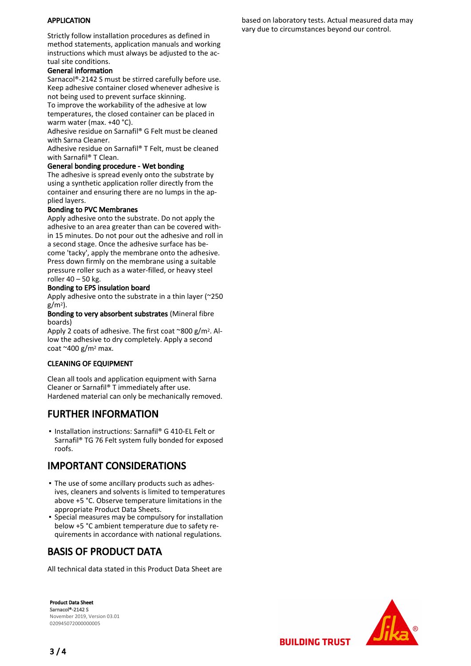#### APPLICATION

Strictly follow installation procedures as defined in method statements, application manuals and working instructions which must always be adjusted to the actual site conditions.

#### General information

Sarnacol®-2142 S must be stirred carefully before use. Keep adhesive container closed whenever adhesive is not being used to prevent surface skinning.

To improve the workability of the adhesive at low temperatures, the closed container can be placed in warm water (max. +40 °C).

Adhesive residue on Sarnafil® G Felt must be cleaned with Sarna Cleaner.

Adhesive residue on Sarnafil® T Felt, must be cleaned with Sarnafil® T Clean.

#### General bonding procedure - Wet bonding

The adhesive is spread evenly onto the substrate by using a synthetic application roller directly from the container and ensuring there are no lumps in the applied layers.

#### Bonding to PVC Membranes

Apply adhesive onto the substrate. Do not apply the adhesive to an area greater than can be covered within 15 minutes. Do not pour out the adhesive and roll in a second stage. Once the adhesive surface has become 'tacky', apply the membrane onto the adhesive. Press down firmly on the membrane using a suitable pressure roller such as a water-filled, or heavy steel roller 40 – 50 kg.

#### Bonding to EPS insulation board

Apply adhesive onto the substrate in a thin layer (~250  $g/m^2$ ).

Bonding to very absorbent substrates (Mineral fibre boards)

Apply 2 coats of adhesive. The first coat  $\degree$ 800 g/m<sup>2</sup>. Allow the adhesive to dry completely. Apply a second coat  $\approx$  400 g/m<sup>2</sup> max.

#### CLEANING OF EQUIPMENT

Clean all tools and application equipment with Sarna Cleaner or Sarnafil® T immediately after use. Hardened material can only be mechanically removed.

## FURTHER INFORMATION

■ Installation instructions: Sarnafil® G 410-EL Felt or Sarnafil® TG 76 Felt system fully bonded for exposed roofs.

## IMPORTANT CONSIDERATIONS

- **The use of some ancillary products such as adhes**ives, cleaners and solvents is limited to temperatures above +5 °C. Observe temperature limitations in the appropriate Product Data Sheets.
- **•** Special measures may be compulsory for installation below +5 °C ambient temperature due to safety requirements in accordance with national regulations.

## BASIS OF PRODUCT DATA

All technical data stated in this Product Data Sheet are

Product Data Sheet Sarnacol®-2142 S November 2019, Version 03.01 020945072000000005



**BUILDING TRUST** 

based on laboratory tests. Actual measured data may vary due to circumstances beyond our control.